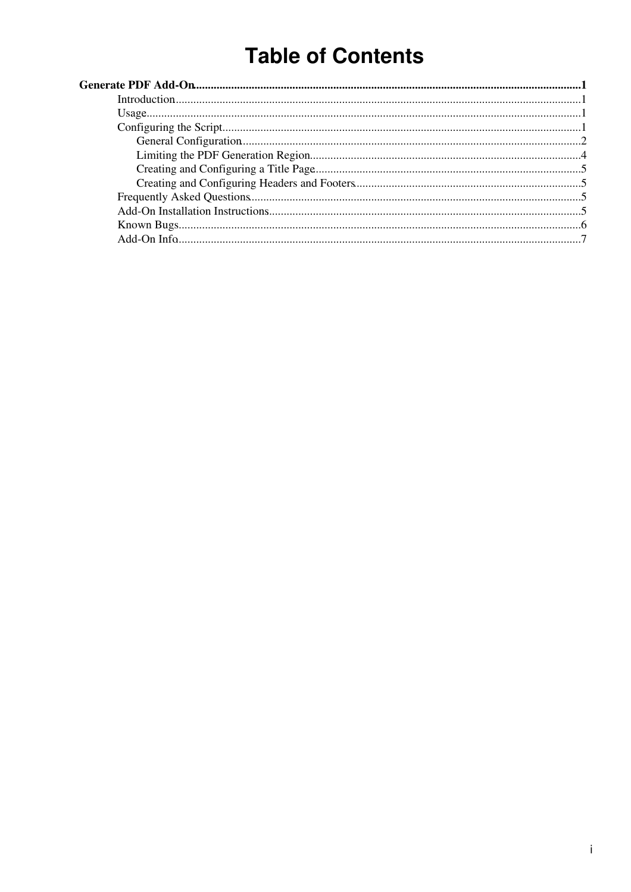# **Table of Contents**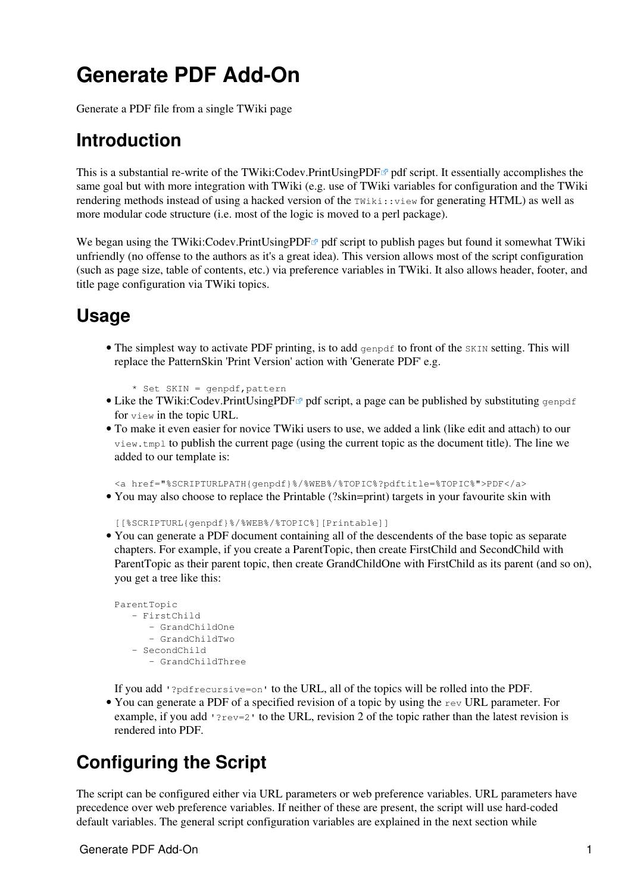# <span id="page-1-0"></span>**Generate PDF Add-On**

Generate a PDF file from a single TWiki page

## <span id="page-1-1"></span>**Introduction**

This is a substantial re-write of the TWiki:Codev.PrintUsingPDF $\mathbb{F}^{\alpha}$  pdf script. It essentially accomplishes the same goal but with more integration with TWiki (e.g. use of TWiki variables for configuration and the TWiki rendering methods instead of using a hacked version of the TWiki::view for generating HTML) as well as more modular code structure (i.e. most of the logic is moved to a perl package).

We began using the [TWiki:Codev.PrintUsingPDF](http://twiki.org/cgi-bin/view/Codev/PrintUsingPDF) $\Phi$  pdf script to publish pages but found it somewhat TWiki unfriendly (no offense to the authors as it's a great idea). This version allows most of the script configuration (such as page size, table of contents, etc.) via preference variables in TWiki. It also allows header, footer, and title page configuration via TWiki topics.

### <span id="page-1-2"></span>**Usage**

• The simplest way to activate PDF printing, is to add genpdf to front of the SKIN setting. This will replace the [PatternSkin](http://charma.uprm.edu/twiki/bin/view/TWiki/PatternSkin) 'Print Version' action with 'Generate PDF' e.g.

```
 * Set SKIN = genpdf,pattern
```
- Like the TWiki: Codev. Print Using PDF<sup> $\alpha$ </sup> pdf script, a page can be published by substituting genpdf for view in the topic URL.
- To make it even easier for novice TWiki users to use, we added a link (like edit and attach) to our view.tmpl to publish the current page (using the current topic as the document title). The line we added to our template is:

<a href="%SCRIPTURLPATH{genpdf}%/%WEB%/%TOPIC%?pdftitle=%TOPIC%">PDF</a>

• You may also choose to replace the Printable (?skin=print) targets in your favourite skin with

[[%SCRIPTURL{genpdf}%/%WEB%/%TOPIC%][Printable]]

You can generate a PDF document containing all of the descendents of the base topic as separate • chapters. For example, if you create a ParentTopic, then create FirstChild and SecondChild with ParentTopic as their parent topic, then create GrandChildOne with FirstChild as its parent (and so on), you get a tree like this:

```
ParentTopic
    - FirstChild
       - GrandChildOne
       - GrandChildTwo
    - SecondChild
       - GrandChildThree
```
If you add '?pdfrecursive=on' to the URL, all of the topics will be rolled into the PDF.

• You can generate a PDF of a specified revision of a topic by using the rev URL parameter. For example, if you add '? $rev=2$ ' to the URL, revision 2 of the topic rather than the latest revision is rendered into PDF.

### <span id="page-1-3"></span>**Configuring the Script**

The script can be configured either via URL parameters or web preference variables. URL parameters have precedence over web preference variables. If neither of these are present, the script will use hard-coded default variables. The general script configuration variables are explained in the next section while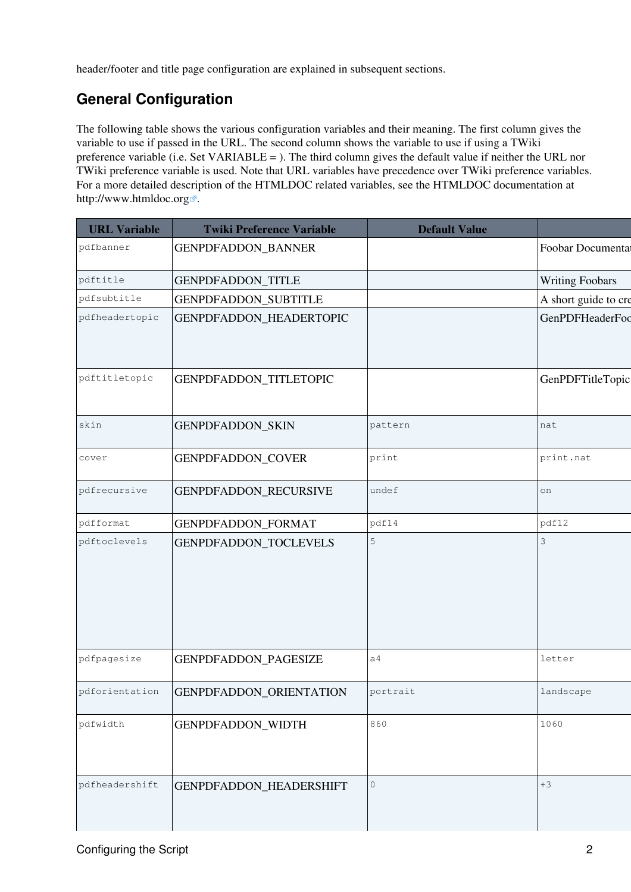header/footer and title page configuration are explained in subsequent sections.

### <span id="page-2-0"></span>**General Configuration**

The following table shows the various configuration variables and their meaning. The first column gives the variable to use if passed in the URL. The second column shows the variable to use if using a TWiki preference variable (i.e. Set VARIABLE = ). The third column gives the default value if neither the URL nor TWiki preference variable is used. Note that URL variables have precedence over TWiki preference variables. For a more detailed description of the HTMLDOC related variables, see the HTMLDOC documentation at <http://www.htmldoc.org>  $\mathbb{Z}$ .

| <b>URL Variable</b> | <b>Twiki Preference Variable</b> | <b>Default Value</b> |                        |
|---------------------|----------------------------------|----------------------|------------------------|
| pdfbanner           | GENPDFADDON_BANNER               |                      | Foobar Documental      |
| pdftitle            | GENPDFADDON_TITLE                |                      | <b>Writing Foobars</b> |
| pdfsubtitle         | <b>GENPDFADDON_SUBTITLE</b>      |                      | A short guide to cre   |
| pdfheadertopic      | GENPDFADDON_HEADERTOPIC          |                      | GenPDFHeaderFoc        |
| pdftitletopic       | GENPDFADDON_TITLETOPIC           |                      | GenPDFTitleTopic       |
| skin                | GENPDFADDON_SKIN                 | pattern              | nat                    |
| cover               | <b>GENPDFADDON_COVER</b>         | print                | print.nat              |
| pdfrecursive        | GENPDFADDON_RECURSIVE            | undef                | on                     |
| pdfformat           | GENPDFADDON_FORMAT               | pdf14                | pdf12                  |
| pdftoclevels        | GENPDFADDON_TOCLEVELS            | $\mathsf S$          | 3                      |
| pdfpagesize         | GENPDFADDON_PAGESIZE             | a <sub>4</sub>       | letter                 |
| pdforientation      | GENPDFADDON_ORIENTATION          | portrait             | landscape              |
| pdfwidth            | GENPDFADDON_WIDTH                | 860                  | 1060                   |
| pdfheadershift      | GENPDFADDON_HEADERSHIFT          | $\circ$              | $+3$                   |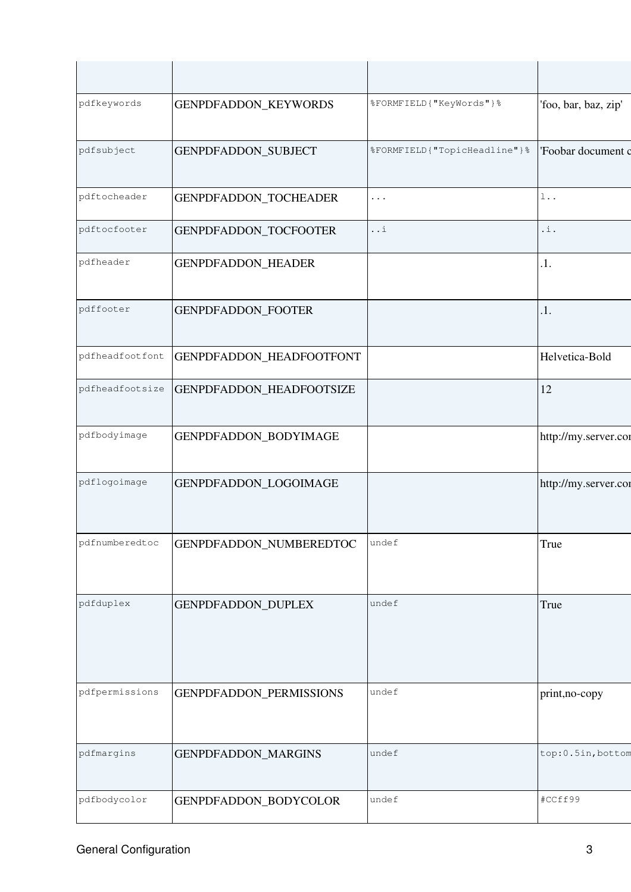| pdfkeywords     | GENPDFADDON_KEYWORDS     | %FORMFIELD{ "KeyWords" } %      | 'foo, bar, baz, zip' |
|-----------------|--------------------------|---------------------------------|----------------------|
| pdfsubject      | GENPDFADDON_SUBJECT      | %FORMFIELD{ "TopicHeadline" } % | 'Foobar document c   |
| pdftocheader    | GENPDFADDON_TOCHEADER    | $\cdots$                        | $1\ldots$            |
| pdftocfooter    | GENPDFADDON_TOCFOOTER    | $\ldots$ i                      | $\mathbf{.1}$ .      |
| pdfheader       | GENPDFADDON_HEADER       |                                 | .1.                  |
| pdffooter       | GENPDFADDON_FOOTER       |                                 | .1.                  |
| pdfheadfootfont | GENPDFADDON_HEADFOOTFONT |                                 | Helvetica-Bold       |
| pdfheadfootsize | GENPDFADDON_HEADFOOTSIZE |                                 | 12                   |
| pdfbodyimage    | GENPDFADDON_BODYIMAGE    |                                 | http://my.server.cor |
| pdflogoimage    | GENPDFADDON_LOGOIMAGE    |                                 | http://my.server.cor |
| pdfnumberedtoc  | GENPDFADDON_NUMBEREDTOC  | undef                           | True                 |
| pdfduplex       | GENPDFADDON_DUPLEX       | undef                           | True                 |
| pdfpermissions  | GENPDFADDON_PERMISSIONS  | undef                           | print, no-copy       |
| pdfmargins      | GENPDFADDON_MARGINS      | undef                           | top:0.5in, bottom    |
| pdfbodycolor    | GENPDFADDON_BODYCOLOR    | undef                           | #CCff99              |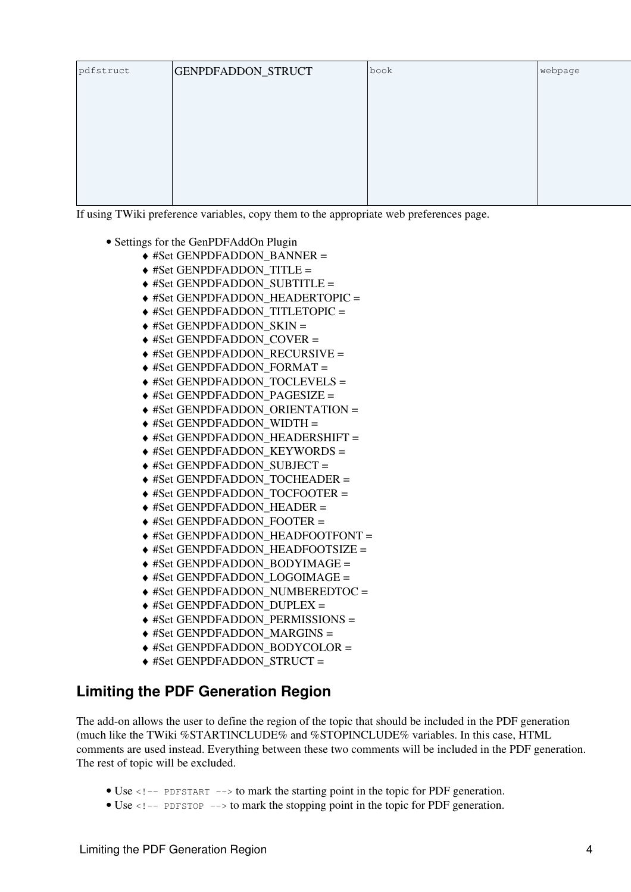| pdfstruct | GENPDFADDON_STRUCT | book | webpage |
|-----------|--------------------|------|---------|
|           |                    |      |         |
|           |                    |      |         |
|           |                    |      |         |
|           |                    |      |         |
|           |                    |      |         |

If using TWiki preference variables, copy them to the appropriate web preferences page.

- Settings for the GenPDFAddOn Plugin
	- ♦ #Set GENPDFADDON\_BANNER =
	- ♦ #Set GENPDFADDON\_TITLE =
	- ♦ #Set GENPDFADDON\_SUBTITLE =
	- ♦ #Set GENPDFADDON\_HEADERTOPIC =
	- ◆ #Set GENPDFADDON\_TITLETOPIC =
	- ♦ #Set GENPDFADDON\_SKIN =
	- ♦ #Set GENPDFADDON\_COVER =
	- ♦ #Set GENPDFADDON\_RECURSIVE =
	- ♦ #Set GENPDFADDON\_FORMAT =
	- ♦ #Set GENPDFADDON\_TOCLEVELS =
	- ♦ #Set GENPDFADDON\_PAGESIZE =
	- ♦ #Set GENPDFADDON\_ORIENTATION =
	- $\triangleq$  #Set GENPDFADDON\_WIDTH =
	- ♦ #Set GENPDFADDON\_HEADERSHIFT =
	- $\triangle$  #Set GENPDFADDON KEYWORDS =
	- ♦ #Set GENPDFADDON\_SUBJECT =
	- ♦ #Set GENPDFADDON\_TOCHEADER =
	- ♦ #Set GENPDFADDON\_TOCFOOTER =
	- ♦ #Set GENPDFADDON\_HEADER =
	- ♦ #Set GENPDFADDON\_FOOTER =
	- ♦ #Set GENPDFADDON\_HEADFOOTFONT =
	- ♦ #Set GENPDFADDON\_HEADFOOTSIZE =
	- $\triangle$  #Set GENPDFADDON\_BODYIMAGE =
	- ♦ #Set GENPDFADDON\_LOGOIMAGE =
	- $\triangle$  #Set GENPDFADDON\_NUMBEREDTOC =
	- ♦ #Set GENPDFADDON\_DUPLEX =
	- ♦ #Set GENPDFADDON\_PERMISSIONS =
	- $\triangleq$  #Set GENPDFADDON MARGINS =
	- ◆ #Set GENPDFADDON\_BODYCOLOR =
	- ♦ #Set GENPDFADDON\_STRUCT =

#### <span id="page-4-0"></span>**Limiting the PDF Generation Region**

The add-on allows the user to define the region of the topic that should be included in the PDF generation (much like the TWiki %STARTINCLUDE% and %STOPINCLUDE% variables. In this case, HTML comments are used instead. Everything between these two comments will be included in the PDF generation. The rest of topic will be excluded.

- Use <!-- PDFSTART --> to mark the starting point in the topic for PDF generation.
- Use  $\leq$  1-- PDFSTOP --> to mark the stopping point in the topic for PDF generation.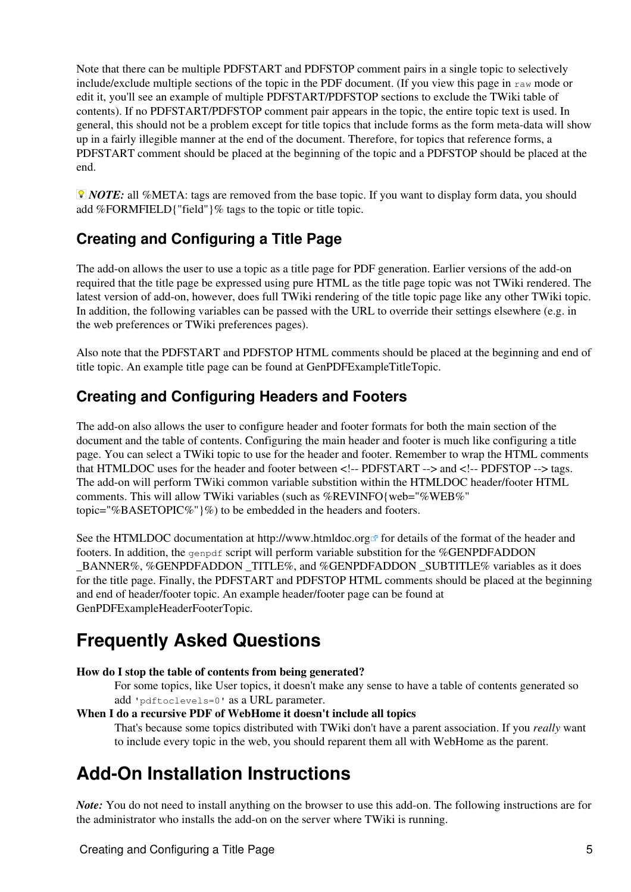Note that there can be multiple PDFSTART and PDFSTOP comment pairs in a single topic to selectively include/exclude multiple sections of the topic in the PDF document. (If you view this page in  $raw$  mode or edit it, you'll see an example of multiple PDFSTART/PDFSTOP sections to exclude the TWiki table of contents). If no PDFSTART/PDFSTOP comment pair appears in the topic, the entire topic text is used. In general, this should not be a problem except for title topics that include forms as the form meta-data will show up in a fairly illegible manner at the end of the document. Therefore, for topics that reference forms, a PDFSTART comment should be placed at the beginning of the topic and a PDFSTOP should be placed at the end.

*NOTE:* all %META: tags are removed from the base topic. If you want to display form data, you should add %FORMFIELD{"field"}% tags to the topic or title topic.

### <span id="page-5-0"></span>**Creating and Configuring a Title Page**

The add-on allows the user to use a topic as a title page for PDF generation. Earlier versions of the add-on required that the title page be expressed using pure HTML as the title page topic was not TWiki rendered. The latest version of add-on, however, does full TWiki rendering of the title topic page like any other TWiki topic. In addition, the following variables can be passed with the URL to override their settings elsewhere (e.g. in the web preferences or TWiki preferences pages).

Also note that the PDFSTART and PDFSTOP HTML comments should be placed at the beginning and end of title topic. An example title page can be found at [GenPDFExampleTitleTopic](http://charma.uprm.edu/twiki/bin/view/TWiki/GenPDFExampleTitleTopic).

#### <span id="page-5-1"></span>**Creating and Configuring Headers and Footers**

The add-on also allows the user to configure header and footer formats for both the main section of the document and the table of contents. Configuring the main header and footer is much like configuring a title page. You can select a TWiki topic to use for the header and footer. Remember to wrap the HTML comments that HTMLDOC uses for the header and footer between <!-- PDFSTART --> and <!-- PDFSTOP --> tags. The add-on will perform TWiki common variable substition within the HTMLDOC header/footer HTML comments. This will allow TWiki variables (such as %REVINFO{web="%WEB%" topic="%BASETOPIC%"}%) to be embedded in the headers and footers.

See the HTMLDOC documentation at <http://www.htmldoc.org>  $\sigma$  for details of the format of the header and footers. In addition, the genpdf script will perform variable substition for the %GENPDFADDON \_BANNER%, %GENPDFADDON \_TITLE%, and %GENPDFADDON \_SUBTITLE% variables as it does for the title page. Finally, the PDFSTART and PDFSTOP HTML comments should be placed at the beginning and end of header/footer topic. An example header/footer page can be found at [GenPDFExampleHeaderFooterTopic.](http://charma.uprm.edu/twiki/bin/view/TWiki/GenPDFExampleHeaderFooterTopic)

## <span id="page-5-2"></span>**Frequently Asked Questions**

#### **How do I stop the table of contents from being generated?**

For some topics, like User topics, it doesn't make any sense to have a table of contents generated so add 'pdftoclevels=0' as a URL parameter.

#### **When I do a recursive PDF of WebHome it doesn't include all topics**

That's because some topics distributed with TWiki don't have a parent association. If you *really* want to include every topic in the web, you should reparent them all with WebHome as the parent.

## <span id="page-5-3"></span>**Add-On Installation Instructions**

*Note:* You do not need to install anything on the browser to use this add-on. The following instructions are for the administrator who installs the add-on on the server where TWiki is running.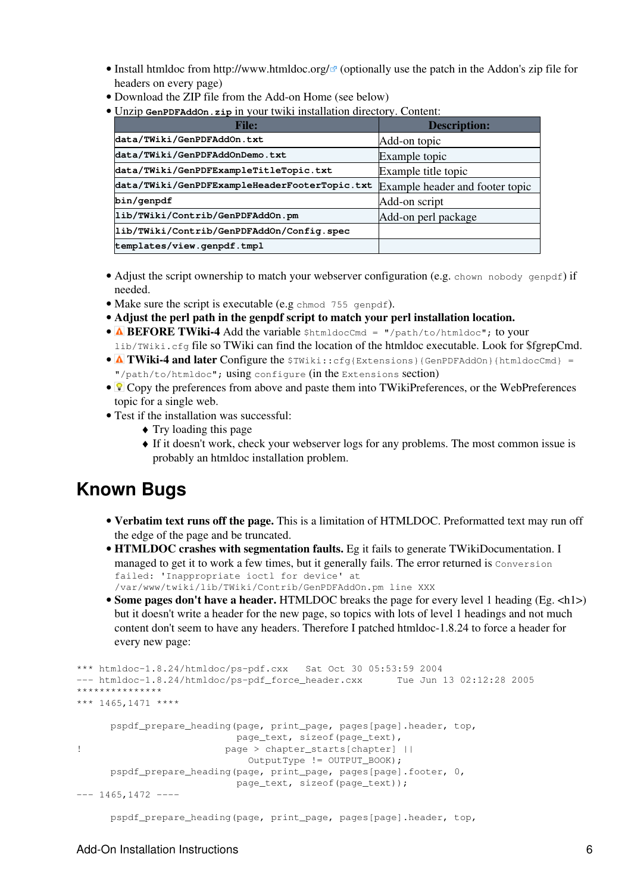- Install htmldoc from http://www.htmldoc.org/<sup>2</sup> (optionally use the patch in the Addon's zip file for headers on every page)
- Download the ZIP file from the Add-on Home (see below)
- Unzip **GenPDFAddOn.zip** in your twiki installation directory. Content: •

| <b>File:</b>                                  | <b>Description:</b>             |
|-----------------------------------------------|---------------------------------|
| data/TWiki/GenPDFAddOn.txt                    | Add-on topic                    |
| data/TWiki/GenPDFAddOnDemo.txt                | Example topic                   |
| data/TWiki/GenPDFExampleTitleTopic.txt        | Example title topic             |
| data/TWiki/GenPDFExampleHeaderFooterTopic.txt | Example header and footer topic |
| bin/genpdf                                    | Add-on script                   |
| lib/TWiki/Contrib/GenPDFAddOn.pm              | Add-on perl package             |
| lib/TWiki/Contrib/GenPDFAddOn/Config.spec     |                                 |
| templates/view.genpdf.tmpl                    |                                 |

- Adjust the script ownership to match your webserver configuration (e.g. chown nobody genpdf) if needed.
- Make sure the script is executable (e.g chmod 755 genpdf).
- **Adjust the perl path in the genpdf script to match your perl installation location.**
- **ABEFORE TWiki-4 Add the variable** \$htmldocCmd = "/path/to/htmldoc"; to your lib/TWiki.cfg file so TWiki can find the location of the htmldoc executable. Look for \$fgrepCmd.
- **A TWiki-4 and later Configure the**  $\text{swiki:} \text{cfg} \text{Extensions}$  {GenPDFAddOn}{htmldocCmd} = "/path/to/htmldoc"; using configure (in the Extensions section)
- *V* Copy the preferences from above and paste them into [TWikiPreferences,](http://charma.uprm.edu/twiki/bin/view/Main/TWikiPreferences) or the WebPreferences topic for a single web.
- Test if the installation was successful:
	- ♦ Try loading [this page](http://charma.uprm.edu/twiki/bin/genpdf/TWiki/GenPDFAddOn)
	- If it doesn't work, check your webserver logs for any problems. The most common issue is ♦ probably an htmldoc installation problem.

### <span id="page-6-0"></span>**Known Bugs**

- **Verbatim text runs off the page.** This is a limitation of HTMLDOC. Preformatted text may run off the edge of the page and be truncated.
- **HTMLDOC crashes with segmentation faults.** Eg it fails to generate [TWikiDocumentation](http://charma.uprm.edu/twiki/bin/view/TWiki/TWikiDocumentation). I managed to get it to work a few times, but it generally fails. The error returned is Conversion failed: 'Inappropriate ioctl for device' at /var/www/twiki/lib/TWiki/Contrib/GenPDFAddOn.pm line XXX
- Some pages don't have a header. HTMLDOC breaks the page for every level 1 heading (Eg. <h1>) but it doesn't write a header for the new page, so topics with lots of level 1 headings and not much content don't seem to have any headers. Therefore I patched htmldoc-1.8.24 to force a header for every new page:

```
*** htmldoc-1.8.24/htmldoc/ps-pdf.cxx Sat Oct 30 05:53:59 2004
--- htmldoc-1.8.24/htmldoc/ps-pdf_force_header.cxx
***************
*** 1465,1471 ****
      pspdf_prepare_heading(page, print_page, pages[page].header, top,
                         page_text, sizeof(page_text),
! page > chapter_starts[chapter] ||
                           OutputType != OUTPUT BOOK);
      pspdf_prepare_heading(page, print_page, pages[page].footer, 0,
                          page_text, sizeof(page_text));
--- 1465, 1472 --- pspdf_prepare_heading(page, print_page, pages[page].header, top,
```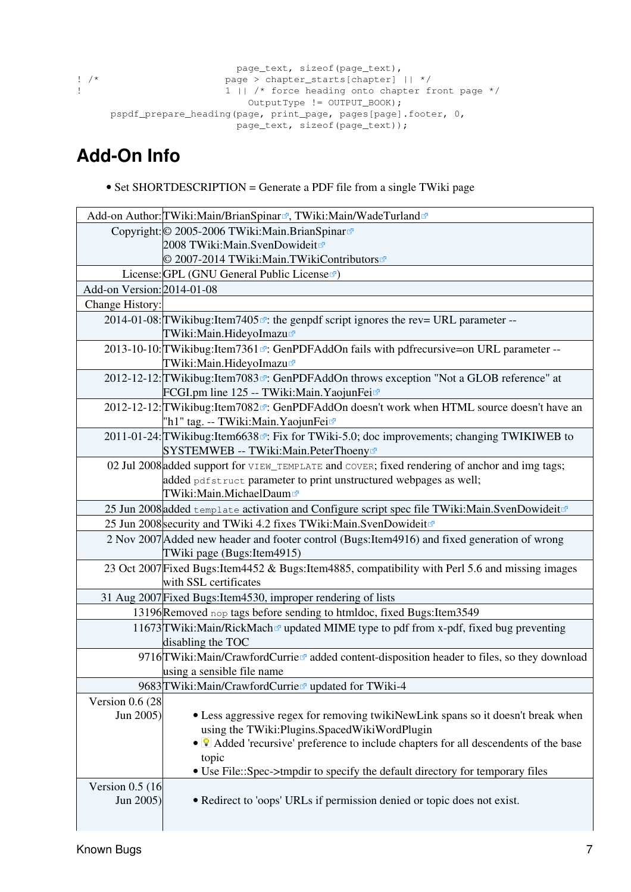```
 page_text, sizeof(page_text),
! /* <br>
page > chapter_starts[chapter] || */<br>
1 || /* force heading onto chapter f
                            1 || /* force heading onto chapter front page */
                                  OutputType != OUTPUT_BOOK);
       pspdf_prepare_heading(page, print_page, pages[page].footer, 0,
                               page_text, sizeof(page_text));
```
## <span id="page-7-0"></span>**Add-On Info**

• Set SHORTDESCRIPTION = Generate a PDF file from a single TWiki page

|                                 | Add-on Author: TWiki: Main/Brian Spinar <sup>®</sup> , TWiki: Main/Wade Turland <sup>®</sup>                                                                                                  |
|---------------------------------|-----------------------------------------------------------------------------------------------------------------------------------------------------------------------------------------------|
|                                 | Copyright: © 2005-2006 TWiki: Main. Brian Spinar                                                                                                                                              |
|                                 | 2008 TWiki:Main.SvenDowideit <sup>ra</sup>                                                                                                                                                    |
|                                 | © 2007-2014 TWiki:Main.TWikiContributors                                                                                                                                                      |
|                                 | License: GPL (GNU General Public License                                                                                                                                                      |
| Add-on Version: 2014-01-08      |                                                                                                                                                                                               |
| Change History:                 |                                                                                                                                                                                               |
|                                 | 2014-01-08: TWikibug: Item 7405 <sup><math>\alpha</math></sup> : the genpdf script ignores the rev= URL parameter --<br>TWiki:Main.HideyoImazu                                                |
|                                 | 2013-10-10: TWikibug: Item 7361 <sup><math>\sigma</math></sup> : GenPDFAddOn fails with pdfrecursive=on URL parameter --<br>TWiki:Main.HideyoImazu                                            |
|                                 | 2012-12-12: TWikibug: Item 7083 <sup>7</sup> : GenPDFAddOn throws exception "Not a GLOB reference" at<br>FCGI.pm line 125 -- TWiki:Main.YaojunFei                                             |
|                                 | 2012-12-12: TWikibug: Item 7082 <sup><math>\sigma</math></sup> : GenPDFAddOn doesn't work when HTML source doesn't have an<br>"h1" tag. -- TWiki:Main.YaojunFei                               |
|                                 | 2011-01-24: TWikibug: Item 6638 <sup>®</sup> : Fix for TWiki-5.0; doc improvements; changing TWIKIWEB to<br>SYSTEMWEB -- TWiki:Main.PeterThoeny&                                              |
|                                 | 02 Jul 2008 added support for VIEW_TEMPLATE and COVER; fixed rendering of anchor and img tags;<br>added pdfstruct parameter to print unstructured webpages as well;<br>TWiki:Main.MichaelDaum |
|                                 | 25 Jun 2008 added template activation and Configure script spec file TWiki: Main. SvenDowideit                                                                                                |
|                                 | 25 Jun 2008 security and TWiki 4.2 fixes TWiki: Main. SvenDowideit <sup>®</sup>                                                                                                               |
|                                 | 2 Nov 2007 Added new header and footer control (Bugs: Item 4916) and fixed generation of wrong<br>TWiki page (Bugs: Item 4915)                                                                |
|                                 | 23 Oct 2007 Fixed Bugs: Item 4452 & Bugs: Item 4885, compatibility with Perl 5.6 and missing images<br>with SSL certificates                                                                  |
|                                 | 31 Aug 2007 Fixed Bugs: Item 4530, improper rendering of lists                                                                                                                                |
|                                 | 13196 Removed nop tags before sending to htmldoc, fixed Bugs: Item 3549                                                                                                                       |
|                                 | 11673 TWiki: Main/RickMach <sup>®</sup> updated MIME type to pdf from x-pdf, fixed bug preventing<br>disabling the TOC                                                                        |
|                                 | 9716 TWiki: Main/Crawford Currier added content-disposition header to files, so they download<br>using a sensible file name                                                                   |
|                                 | 9683 TWiki: Main/Crawford Currie <sup>r</sup> updated for TWiki-4                                                                                                                             |
| Version $0.6(28)$               |                                                                                                                                                                                               |
| Jun 2005)                       | • Less aggressive regex for removing twikiNewLink spans so it doesn't break when<br>using the TWiki: Plugins. Spaced Wiki Word Plugin                                                         |
|                                 | • <sup>•</sup> Added 'recursive' preference to include chapters for all descendents of the base                                                                                               |
|                                 | topic                                                                                                                                                                                         |
|                                 | • Use File::Spec->tmpdir to specify the default directory for temporary files                                                                                                                 |
| Version $0.5$ (16)<br>Jun 2005) | • Redirect to 'oops' URLs if permission denied or topic does not exist.                                                                                                                       |
|                                 |                                                                                                                                                                                               |